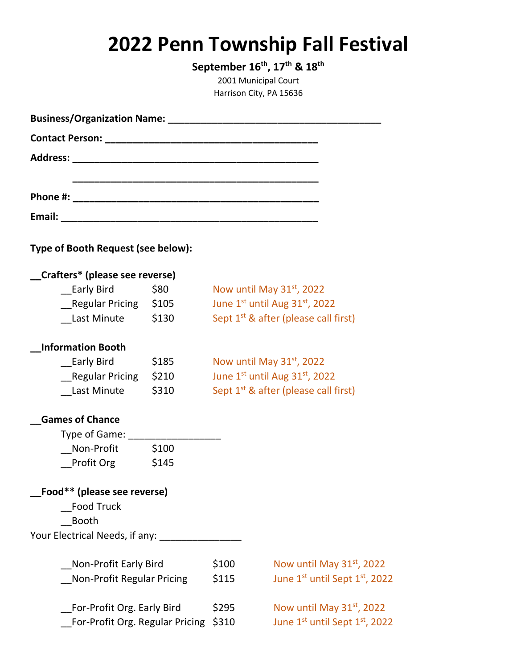## **2022 Penn Township Fall Festival**

**September 16 th, 17 th & 18 th** 2001 Municipal Court Harrison City, PA 15636

| Business/Organization Name: 1997 Manual Manual Manual Manual Manual Manual Manual Manual Manual Manual Manual |       |                                       |                                                  |
|---------------------------------------------------------------------------------------------------------------|-------|---------------------------------------|--------------------------------------------------|
|                                                                                                               |       |                                       |                                                  |
|                                                                                                               |       |                                       |                                                  |
|                                                                                                               |       |                                       |                                                  |
|                                                                                                               |       |                                       |                                                  |
|                                                                                                               |       |                                       |                                                  |
|                                                                                                               |       |                                       |                                                  |
| Type of Booth Request (see below):                                                                            |       |                                       |                                                  |
| Crafters* (please see reverse)                                                                                |       |                                       |                                                  |
| Early Bird \$80                                                                                               |       | Now until May 31 <sup>st</sup> , 2022 |                                                  |
| Regular Pricing \$105                                                                                         |       | June 1st until Aug 31st, 2022         |                                                  |
| Last Minute \$130                                                                                             |       |                                       | Sept 1 <sup>st</sup> & after (please call first) |
| <b>Information Booth</b>                                                                                      |       |                                       |                                                  |
| Early Bird \$185                                                                                              |       | Now until May 31 <sup>st</sup> , 2022 |                                                  |
| Regular Pricing \$210                                                                                         |       | June 1st until Aug 31st, 2022         |                                                  |
| Last Minute                                                                                                   | \$310 |                                       | Sept 1 <sup>st</sup> & after (please call first) |
| <b>Games of Chance</b>                                                                                        |       |                                       |                                                  |
| Type of Game: ________                                                                                        |       |                                       |                                                  |
| Non-Profit \$100                                                                                              |       |                                       |                                                  |
| Profit Org \$145                                                                                              |       |                                       |                                                  |
| Food** (please see reverse)                                                                                   |       |                                       |                                                  |
| <b>Food Truck</b>                                                                                             |       |                                       |                                                  |
| <b>Booth</b>                                                                                                  |       |                                       |                                                  |
| Your Electrical Needs, if any: _______________                                                                |       |                                       |                                                  |
| Non-Profit Early Bird                                                                                         |       | \$100                                 | Now until May $31st$ , 2022                      |
| Non-Profit Regular Pricing                                                                                    |       | \$115                                 | June 1st until Sept 1st, 2022                    |
|                                                                                                               |       |                                       |                                                  |
| For-Profit Org. Early Bird                                                                                    |       | \$295                                 | Now until May 31 <sup>st</sup> , 2022            |
| For-Profit Org. Regular Pricing \$310                                                                         |       |                                       | June 1st until Sept 1st, 2022                    |